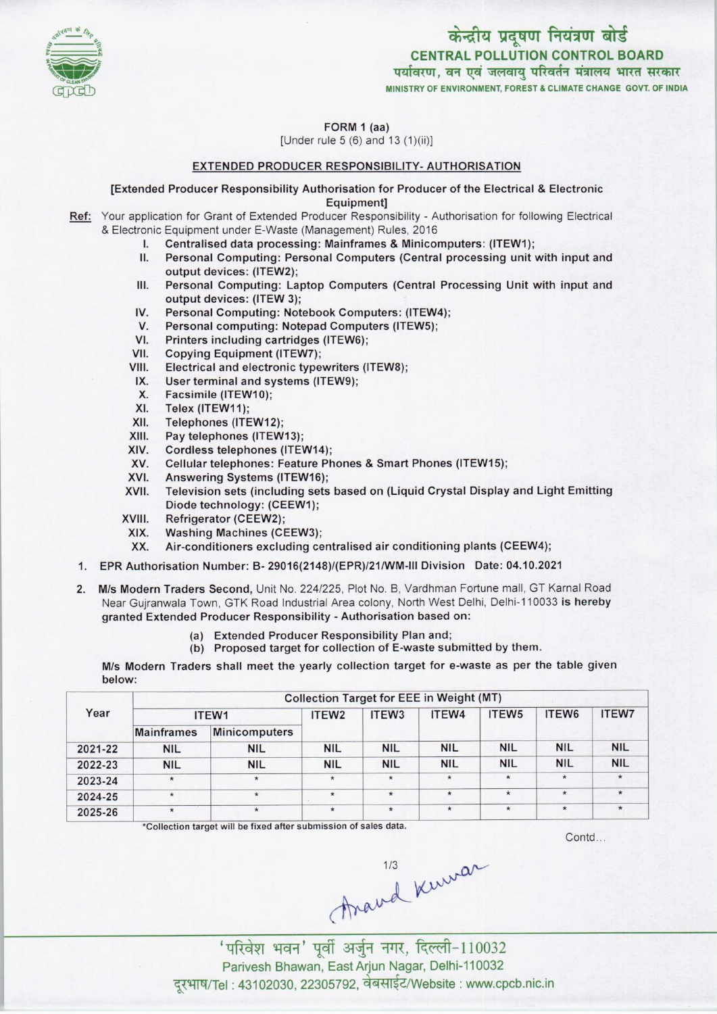

# केन्द्रीय प्रदूषण नियंत्रण बोर्ड CENTRAL POLLUTION CONTROL BOARD पर्यावरण, वन एवं जलवायु परिवर्तन मंत्रालय भारत सरकार

MINISTRY OF ENVIRONMENT, FOREST S CLIMATE CHANGE GOVT. OF INDIA

FORM 1 (aa)

[Under rule 5 (6) and 13 (1)(ii)]

## EXTENDED PRODUCER RESPONSIBILITY- AUTHORISATION

[Extended Producer Responsibility Authorisation for Producer ofthe Electrical & Electronic

Equipment]

- Ref: Your application for Grant of Extended Producer Responsibility Authorisation for following Electrical & Electronic Equipment under E-Waste (Management) Rules, 2016
	- I. Centralised data processing: Mainframes & Minicomputers: (ITEW1);<br>II. Personal Computing: Personal Computers (Central processing unit)
	- Personal Computing: Personal Computers (Central processing unit with input and output devices: (ITEW2);
	- III. Personal Computing: Laptop Computers (Central Processing Unit with input and output devices: (ITEW 3); III. Personal Computing: Laptop Computers (Central Protection<br>IV. Personal Computing: Notebook Computers: (ITEW4);<br>V. Personal computing: Notebook Computers (ITEW5);
	- V. Personal Computing: Notebook Computers: (ITEW<br>V. Personal computing: Notebook Computers (ITEW5);<br>I. Printers including cartridges (ITEW6); IV. Personal Computing: Notebook Computers: (ITEW4<br>V. Personal computing: Notepad Computers (ITEW5);<br>VI. Printers including cartridges (ITEW6);<br>VII. Copying Equipment (ITEW7);
	-
	- VI. Printers including cartridges (ITEW6);<br>VII. Copying Equipment (ITEW7);<br>VIII. Electrical and electronic typewriters (I
	-
	- VIII. Electrical and electronic typewriters (ITEW8);<br>IX. User terminal and systems (ITEW9); III. Electrical and electronic typewriters<br>IX. User terminal and systems (ITEW9);<br>X. Eassimile (ITEW10);
	- ii. Electrical and electrical<br>X. Eacsimile (ITEW10);<br>X. Tolox (ITEW11);
	- X. Facsimile (ITEW10);<br>XI. Telex (ITEW11);<br>XII. Telephones (ITEW12
	-
	- XII. Telephones (ITEW12);<br>XIII. Pay telephones (ITEW
	- XIII. Pay telephones (ITEW13);<br>XIV. Cordless telephones (ITEV
	- XIV. Cordless telephones (ITEW14);<br>XV. Cellular telephones: Feature Ph
	- XIV. Cellular telephones: Feature Phones & Smart Phones (ITEW15);<br>XVI. Answering Systems (ITEW16);<br>XVII. Television sets (including sets based on (Liquid Crystal Display
	-
	- XVI. Answering Systems (ITEW16);<br>XVII. Television sets (including sets based on (Liquid Crystal Display and Light Emitting Diode technology: (CEEW1);
	- XVIII. Refrigerator (CEEW2);<br>XIX. Washing Machines (CI
	- XIX. Washing Machines (CEEW3);<br>XX. Air-conditioners excluding ce
	- Air-conditioners excluding centralised air conditioning plants (CEEW4);
	- 1. EPR Authorisation Number: B- 29016(2148)/(EPR)/21/WM-lll Division Date: 04.10.2021
	- 2. M/s Modern Traders Second, Unit No. 224/225, Plot No. B, Vardhman Fortune mall, GT Karnal Road Near Gujranwala Town, GTK Road Industrial Area colony, North West Delhi, Delhi-110033 is hereby granted Extended Producer Responsibility - Authorisation based on:
		- Extended Producer Responsibility Plan and; (a)
		- (b) Proposed target for collection of  $E$ -waste submitted by them.

M/s Modern Traders shall meet the yearly collection target for e-waste as per the table given below:

| Year    | <b>Collection Target for EEE in Weight (MT)</b> |               |                   |                   |            |                   |            |              |  |
|---------|-------------------------------------------------|---------------|-------------------|-------------------|------------|-------------------|------------|--------------|--|
|         | ITEW1                                           |               | ITEW <sub>2</sub> | ITEW <sub>3</sub> | ITEW4      | ITEW <sub>5</sub> | ITEW6      | <b>ITEW7</b> |  |
|         | <b>Mainframes</b>                               | Minicomputers |                   |                   |            |                   |            |              |  |
| 2021-22 | <b>NIL</b>                                      | <b>NIL</b>    | <b>NIL</b>        | <b>NIL</b>        | <b>NIL</b> | <b>NIL</b>        | <b>NIL</b> | <b>NIL</b>   |  |
| 2022-23 | <b>NIL</b>                                      | <b>NIL</b>    | <b>NIL</b>        | <b>NIL</b>        | <b>NIL</b> | <b>NIL</b>        | <b>NIL</b> | <b>NIL</b>   |  |
| 2023-24 | $\star$                                         | $\star$       | $\star$           | $\star$           | $\star$    | $\star$           | $\star$    | $\star$      |  |
| 2024-25 | $\star$                                         | $\star$       | $\star$           | $\star$           | $\star$    | $\star$           | $\star$    | $\star$      |  |
| 2025-26 | $\star$                                         | $\star$       | $\star$           | $\star$           | $\star$    | $\star$           | $\star$    |              |  |

\*Collection target will be fixed after submission of sales data.

Contd...

Araud Kuwar

' परिवेश भवन' पूर्वी अर्जुन नगर, दिल्ली-110032 Parivesh Bhawan, EastArjun Nagar, Delhi-110032 दूरभाष/Tel : 43102030, 22305792, वेबसाईट/Website : www.cpcb.nic.in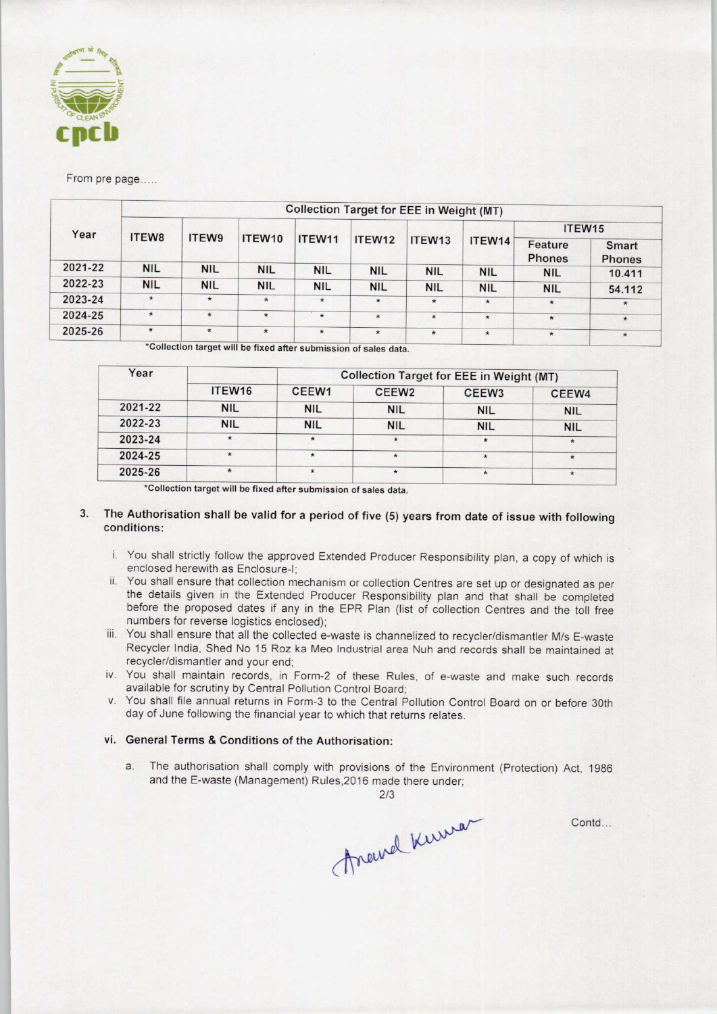

From pre page.....

| Year    | <b>Collection Target for EEE in Weight (MT)</b> |            |            |                    |            |            |            |                          |                               |  |  |
|---------|-------------------------------------------------|------------|------------|--------------------|------------|------------|------------|--------------------------|-------------------------------|--|--|
|         |                                                 |            |            |                    |            |            |            | ITEW <sub>15</sub>       |                               |  |  |
|         | <b>ITEW8</b>                                    | ITEW9      | ITEW10     | ITEW <sub>11</sub> | ITEW12     | ITEW13     | ITEW14     | Feature<br><b>Phones</b> | <b>Smart</b><br><b>Phones</b> |  |  |
| 2021-22 | <b>NIL</b>                                      | <b>NIL</b> | <b>NIL</b> | <b>NIL</b>         | <b>NIL</b> | <b>NIL</b> | <b>NIL</b> | <b>NIL</b>               | 10.411                        |  |  |
| 2022-23 | <b>NIL</b>                                      | <b>NIL</b> | <b>NIL</b> | <b>NIL</b>         | <b>NIL</b> | <b>NIL</b> | <b>NIL</b> | <b>NIL</b>               | 54.112                        |  |  |
| 2023-24 | $\star$                                         | $\star$    | $\star$    | $\star$            | $\star$    | $\ast$     | $\star$    | $\star$                  | $\star$                       |  |  |
| 2024-25 | $\star$                                         | $\star$    | $\star$    | $\star$            | $\star$    | $\star$    | $\star$    | $\star$                  | $\star$                       |  |  |
| 2025-26 | $\star$                                         | $\star$    | $\star$    | $\star$            | $\star$    | $\star$    | $\star$    | $\star$                  | $\star$                       |  |  |

Collection target will be fixed after submission of sales data.

| Year    |                    | <b>Collection Target for EEE in Weight (MT)</b> |                   |                   |            |  |  |  |
|---------|--------------------|-------------------------------------------------|-------------------|-------------------|------------|--|--|--|
|         | ITEW <sub>16</sub> | CEEW1                                           | CEEW <sub>2</sub> | CEEW <sub>3</sub> | CEEW4      |  |  |  |
| 2021-22 | <b>NIL</b>         | <b>NIL</b>                                      | <b>NIL</b>        | <b>NIL</b>        | <b>NIL</b> |  |  |  |
| 2022-23 | <b>NIL</b>         | <b>NIL</b>                                      | <b>NIL</b>        | <b>NIL</b>        | <b>NIL</b> |  |  |  |
| 2023-24 | $\star$            | $\star$                                         | $\star$           | $\star$           | $\star$    |  |  |  |
| 2024-25 | $\star$            | $\star$                                         | $\star$           | $\star$           | $\star$    |  |  |  |
| 2025-26 | $\star$            | $\star$                                         | $\star$           | $\star$           | $\star$    |  |  |  |

\*Collection target will be fixed after submission of sales data.

## 3. The Authorisation shall be valid for a period of five (5) years from date of issue with following conditions:

- i. You shall strictly follow the approved Extended Producer Responsibility plan, a copy of which is enclosed herewith as Enclosure-I;
- ii. You shall ensure that collection mechanism or collection Centres are set up or designated as per the details given in the Extended Producer Responsibility plan and that shall be completed before the proposed dates if any in the EPR Plan (list of collection Centres and the toll free numbers for reverse logistics enclosed);
- iii. You shall ensure that all the collected e-waste is channelized to recycler/dismantler M/s E-waste Recycler India, Shed No 15 Roz ka Meo Industrial area Nuh and records shall be maintained at recycler/dismantler and your end;
- iv. You shall maintain records, in Form-2 of these Rules, of e-waste and make such records available for scrutiny by Central Pollution Control Board;
- v. You shall file annual returns in Form-3 to the Central Pollution Control Board on or before 30th day of June following the financial year to which that returns relates.

#### vi. General Terms & Conditions of the Authorisation:

a. The authorisation shall comply with provisions of the Environment (Protection) Act, 1986 and the E-waste (Management) Rules,2016 made there under;

marrel Kerrison

Contd...